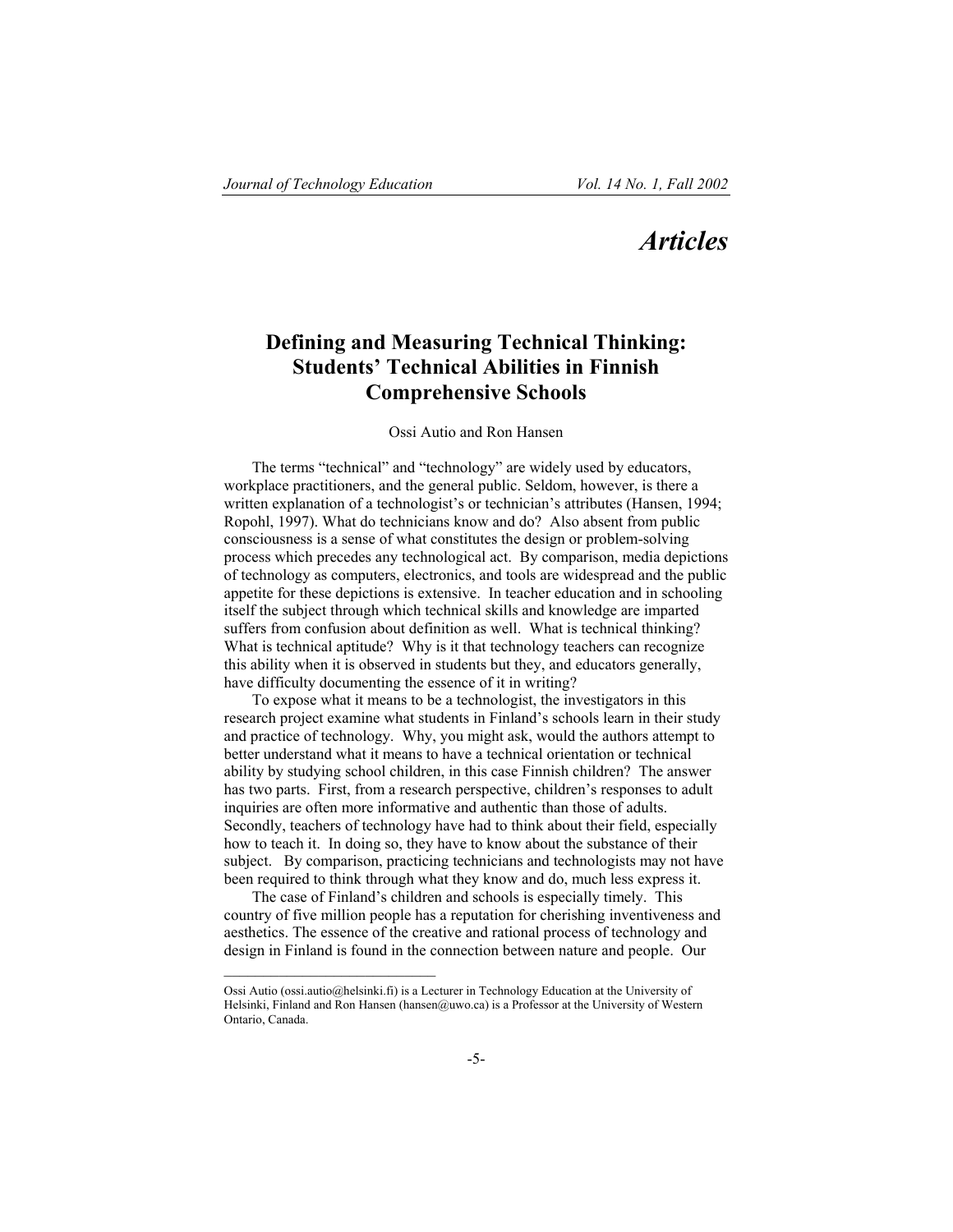# *Articles*

## **Defining and Measuring Technical Thinking: Students' Technical Abilities in Finnish Comprehensive Schools**

## Ossi Autio and Ron Hansen

The terms "technical" and "technology" are widely used by educators, workplace practitioners, and the general public. Seldom, however, is there a written explanation of a technologist's or technician's attributes (Hansen, 1994; Ropohl, 1997). What do technicians know and do? Also absent from public consciousness is a sense of what constitutes the design or problem-solving process which precedes any technological act. By comparison, media depictions of technology as computers, electronics, and tools are widespread and the public appetite for these depictions is extensive. In teacher education and in schooling itself the subject through which technical skills and knowledge are imparted suffers from confusion about definition as well. What is technical thinking? What is technical aptitude? Why is it that technology teachers can recognize this ability when it is observed in students but they, and educators generally, have difficulty documenting the essence of it in writing?

To expose what it means to be a technologist, the investigators in this research project examine what students in Finland's schools learn in their study and practice of technology. Why, you might ask, would the authors attempt to better understand what it means to have a technical orientation or technical ability by studying school children, in this case Finnish children? The answer has two parts. First, from a research perspective, children's responses to adult inquiries are often more informative and authentic than those of adults. Secondly, teachers of technology have had to think about their field, especially how to teach it. In doing so, they have to know about the substance of their subject. By comparison, practicing technicians and technologists may not have been required to think through what they know and do, much less express it.

The case of Finland's children and schools is especially timely. This country of five million people has a reputation for cherishing inventiveness and aesthetics. The essence of the creative and rational process of technology and design in Finland is found in the connection between nature and people. Our

Ossi Autio (ossi.autio@helsinki.fi) is a Lecturer in Technology Education at the University of Helsinki, Finland and Ron Hansen (hansen@uwo.ca) is a Professor at the University of Western Ontario, Canada.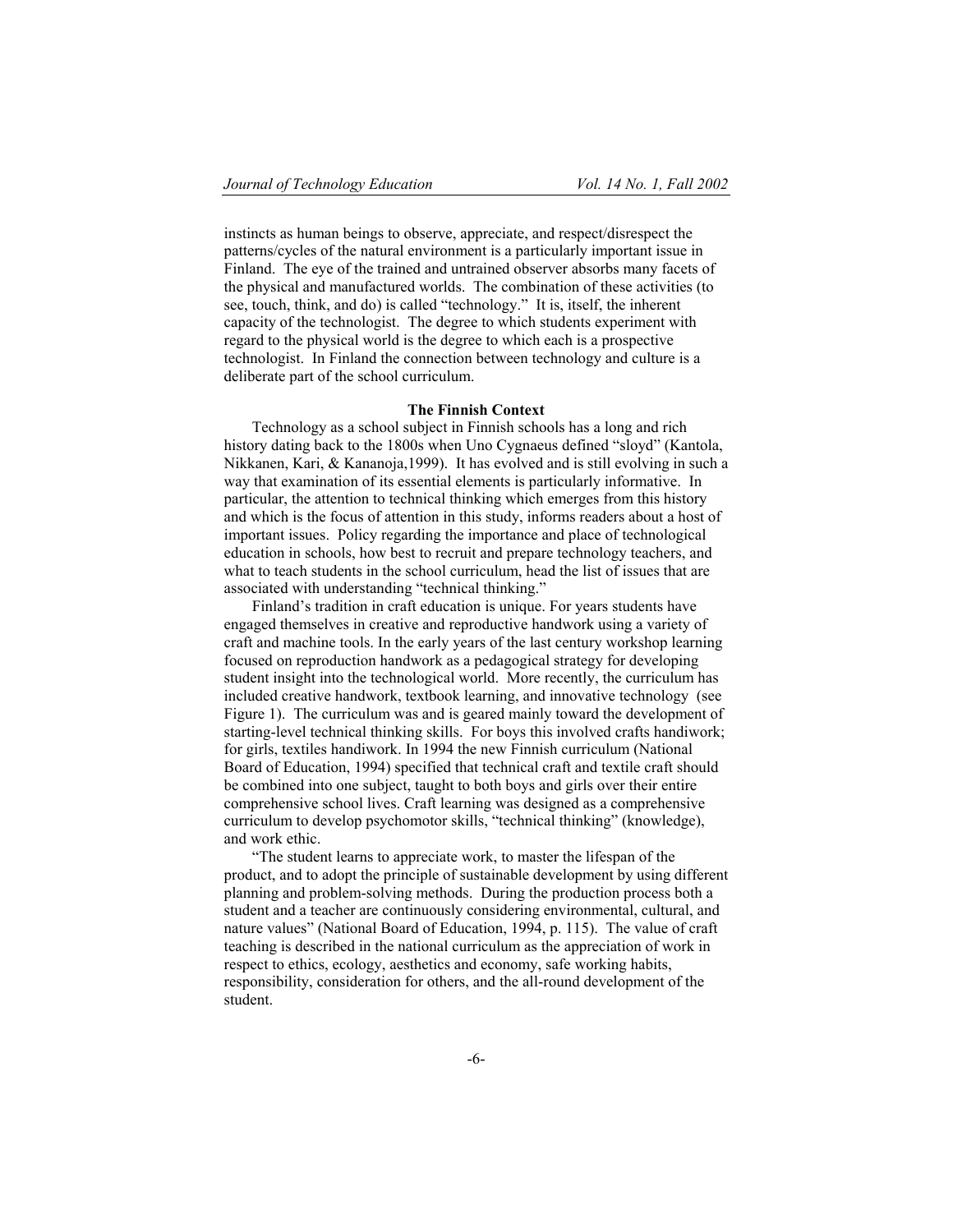instincts as human beings to observe, appreciate, and respect/disrespect the patterns/cycles of the natural environment is a particularly important issue in Finland. The eye of the trained and untrained observer absorbs many facets of the physical and manufactured worlds. The combination of these activities (to see, touch, think, and do) is called "technology." It is, itself, the inherent capacity of the technologist. The degree to which students experiment with regard to the physical world is the degree to which each is a prospective technologist. In Finland the connection between technology and culture is a deliberate part of the school curriculum.

## **The Finnish Context**

Technology as a school subject in Finnish schools has a long and rich history dating back to the 1800s when Uno Cygnaeus defined "sloyd" (Kantola, Nikkanen, Kari, & Kananoja,1999). It has evolved and is still evolving in such a way that examination of its essential elements is particularly informative. In particular, the attention to technical thinking which emerges from this history and which is the focus of attention in this study, informs readers about a host of important issues. Policy regarding the importance and place of technological education in schools, how best to recruit and prepare technology teachers, and what to teach students in the school curriculum, head the list of issues that are associated with understanding "technical thinking."

Finland's tradition in craft education is unique. For years students have engaged themselves in creative and reproductive handwork using a variety of craft and machine tools. In the early years of the last century workshop learning focused on reproduction handwork as a pedagogical strategy for developing student insight into the technological world. More recently, the curriculum has included creative handwork, textbook learning, and innovative technology (see Figure 1). The curriculum was and is geared mainly toward the development of starting-level technical thinking skills. For boys this involved crafts handiwork; for girls, textiles handiwork. In 1994 the new Finnish curriculum (National Board of Education, 1994) specified that technical craft and textile craft should be combined into one subject, taught to both boys and girls over their entire comprehensive school lives. Craft learning was designed as a comprehensive curriculum to develop psychomotor skills, "technical thinking" (knowledge), and work ethic.

"The student learns to appreciate work, to master the lifespan of the product, and to adopt the principle of sustainable development by using different planning and problem-solving methods. During the production process both a student and a teacher are continuously considering environmental, cultural, and nature values" (National Board of Education, 1994, p. 115). The value of craft teaching is described in the national curriculum as the appreciation of work in respect to ethics, ecology, aesthetics and economy, safe working habits, responsibility, consideration for others, and the all-round development of the student.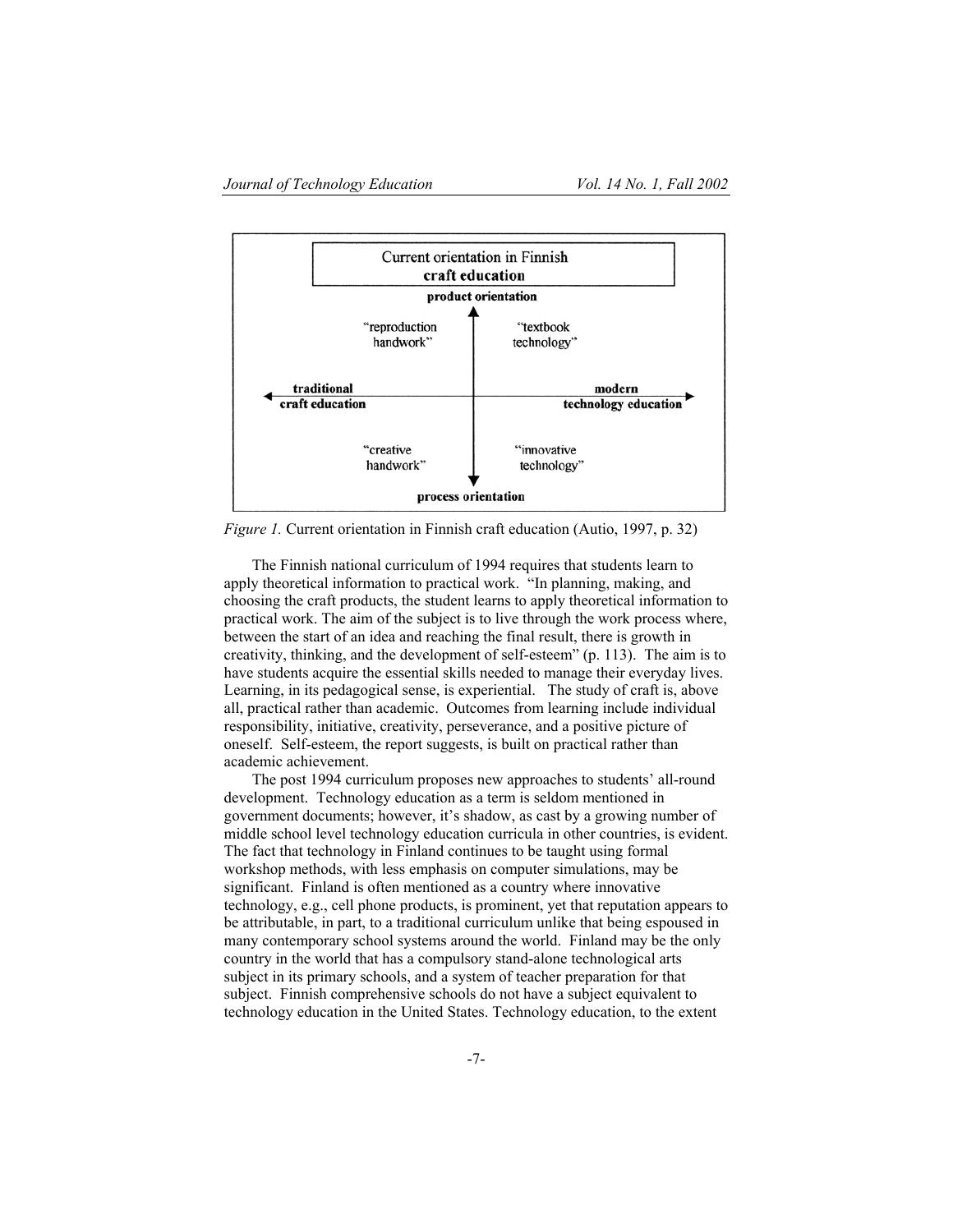

*Figure 1.* Current orientation in Finnish craft education (Autio, 1997, p. 32)

The Finnish national curriculum of 1994 requires that students learn to apply theoretical information to practical work. "In planning, making, and choosing the craft products, the student learns to apply theoretical information to practical work. The aim of the subject is to live through the work process where, between the start of an idea and reaching the final result, there is growth in creativity, thinking, and the development of self-esteem" (p. 113). The aim is to have students acquire the essential skills needed to manage their everyday lives. Learning, in its pedagogical sense, is experiential. The study of craft is, above all, practical rather than academic. Outcomes from learning include individual responsibility, initiative, creativity, perseverance, and a positive picture of oneself. Self-esteem, the report suggests, is built on practical rather than academic achievement.

The post 1994 curriculum proposes new approaches to students' all-round development. Technology education as a term is seldom mentioned in government documents; however, it's shadow, as cast by a growing number of middle school level technology education curricula in other countries, is evident. The fact that technology in Finland continues to be taught using formal workshop methods, with less emphasis on computer simulations, may be significant. Finland is often mentioned as a country where innovative technology, e.g., cell phone products, is prominent, yet that reputation appears to be attributable, in part, to a traditional curriculum unlike that being espoused in many contemporary school systems around the world. Finland may be the only country in the world that has a compulsory stand-alone technological arts subject in its primary schools, and a system of teacher preparation for that subject. Finnish comprehensive schools do not have a subject equivalent to technology education in the United States. Technology education, to the extent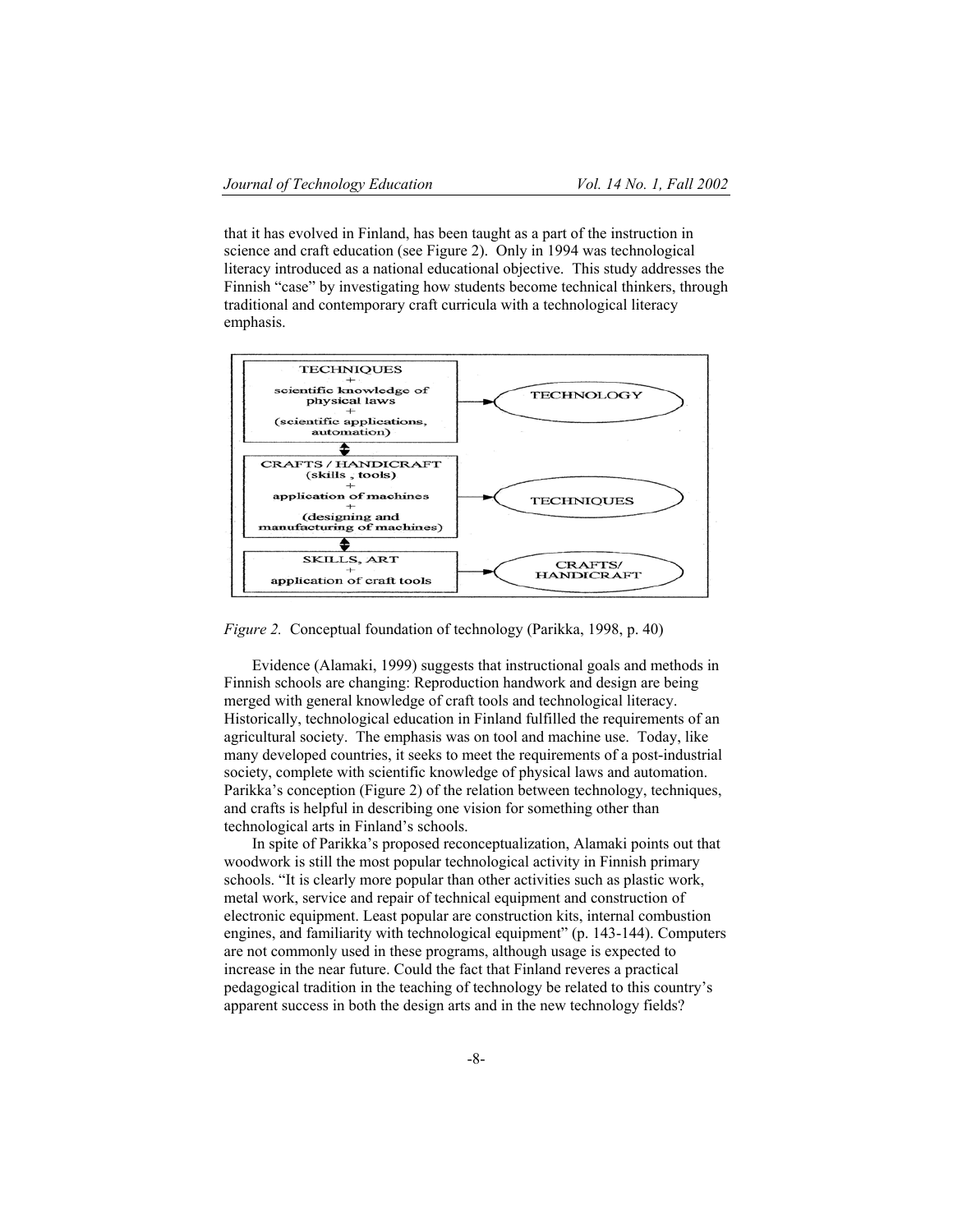that it has evolved in Finland, has been taught as a part of the instruction in science and craft education (see Figure 2). Only in 1994 was technological literacy introduced as a national educational objective. This study addresses the Finnish "case" by investigating how students become technical thinkers, through traditional and contemporary craft curricula with a technological literacy emphasis.



*Figure 2.* Conceptual foundation of technology (Parikka, 1998, p. 40)

Evidence (Alamaki, 1999) suggests that instructional goals and methods in Finnish schools are changing: Reproduction handwork and design are being merged with general knowledge of craft tools and technological literacy. Historically, technological education in Finland fulfilled the requirements of an agricultural society. The emphasis was on tool and machine use. Today, like many developed countries, it seeks to meet the requirements of a post-industrial society, complete with scientific knowledge of physical laws and automation. Parikka's conception (Figure 2) of the relation between technology, techniques, and crafts is helpful in describing one vision for something other than technological arts in Finland's schools.

In spite of Parikka's proposed reconceptualization, Alamaki points out that woodwork is still the most popular technological activity in Finnish primary schools. "It is clearly more popular than other activities such as plastic work, metal work, service and repair of technical equipment and construction of electronic equipment. Least popular are construction kits, internal combustion engines, and familiarity with technological equipment" (p. 143-144). Computers are not commonly used in these programs, although usage is expected to increase in the near future. Could the fact that Finland reveres a practical pedagogical tradition in the teaching of technology be related to this country's apparent success in both the design arts and in the new technology fields?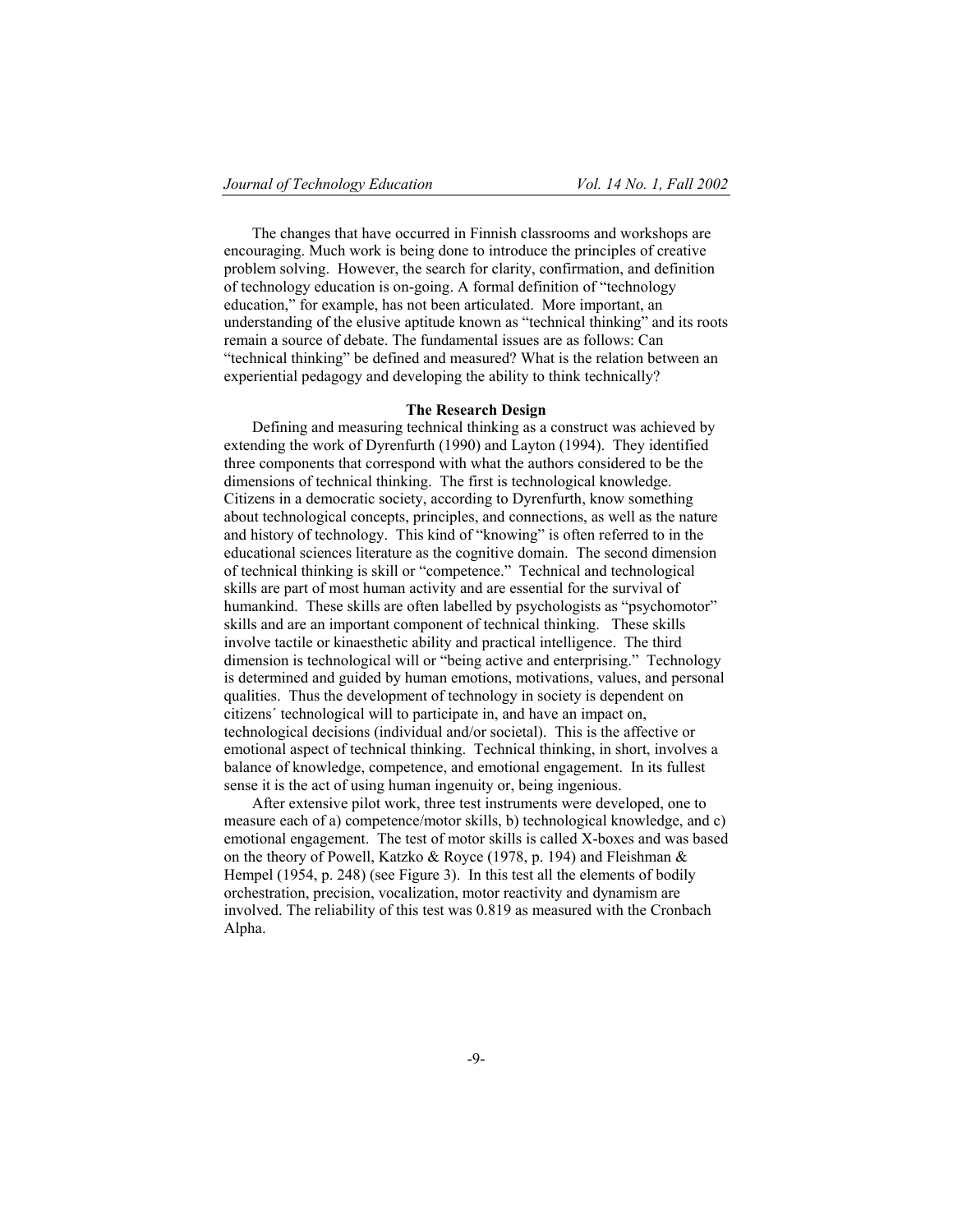The changes that have occurred in Finnish classrooms and workshops are encouraging. Much work is being done to introduce the principles of creative problem solving. However, the search for clarity, confirmation, and definition of technology education is on-going. A formal definition of "technology education," for example, has not been articulated. More important, an understanding of the elusive aptitude known as "technical thinking" and its roots remain a source of debate. The fundamental issues are as follows: Can "technical thinking" be defined and measured? What is the relation between an experiential pedagogy and developing the ability to think technically?

## **The Research Design**

Defining and measuring technical thinking as a construct was achieved by extending the work of Dyrenfurth (1990) and Layton (1994). They identified three components that correspond with what the authors considered to be the dimensions of technical thinking. The first is technological knowledge. Citizens in a democratic society, according to Dyrenfurth, know something about technological concepts, principles, and connections, as well as the nature and history of technology. This kind of "knowing" is often referred to in the educational sciences literature as the cognitive domain. The second dimension of technical thinking is skill or "competence." Technical and technological skills are part of most human activity and are essential for the survival of humankind. These skills are often labelled by psychologists as "psychomotor" skills and are an important component of technical thinking. These skills involve tactile or kinaesthetic ability and practical intelligence. The third dimension is technological will or "being active and enterprising." Technology is determined and guided by human emotions, motivations, values, and personal qualities. Thus the development of technology in society is dependent on citizens´ technological will to participate in, and have an impact on, technological decisions (individual and/or societal). This is the affective or emotional aspect of technical thinking. Technical thinking, in short, involves a balance of knowledge, competence, and emotional engagement. In its fullest sense it is the act of using human ingenuity or, being ingenious.

After extensive pilot work, three test instruments were developed, one to measure each of a) competence/motor skills, b) technological knowledge, and c) emotional engagement. The test of motor skills is called X-boxes and was based on the theory of Powell, Katzko & Royce (1978, p. 194) and Fleishman & Hempel (1954, p. 248) (see Figure 3). In this test all the elements of bodily orchestration, precision, vocalization, motor reactivity and dynamism are involved. The reliability of this test was 0.819 as measured with the Cronbach Alpha.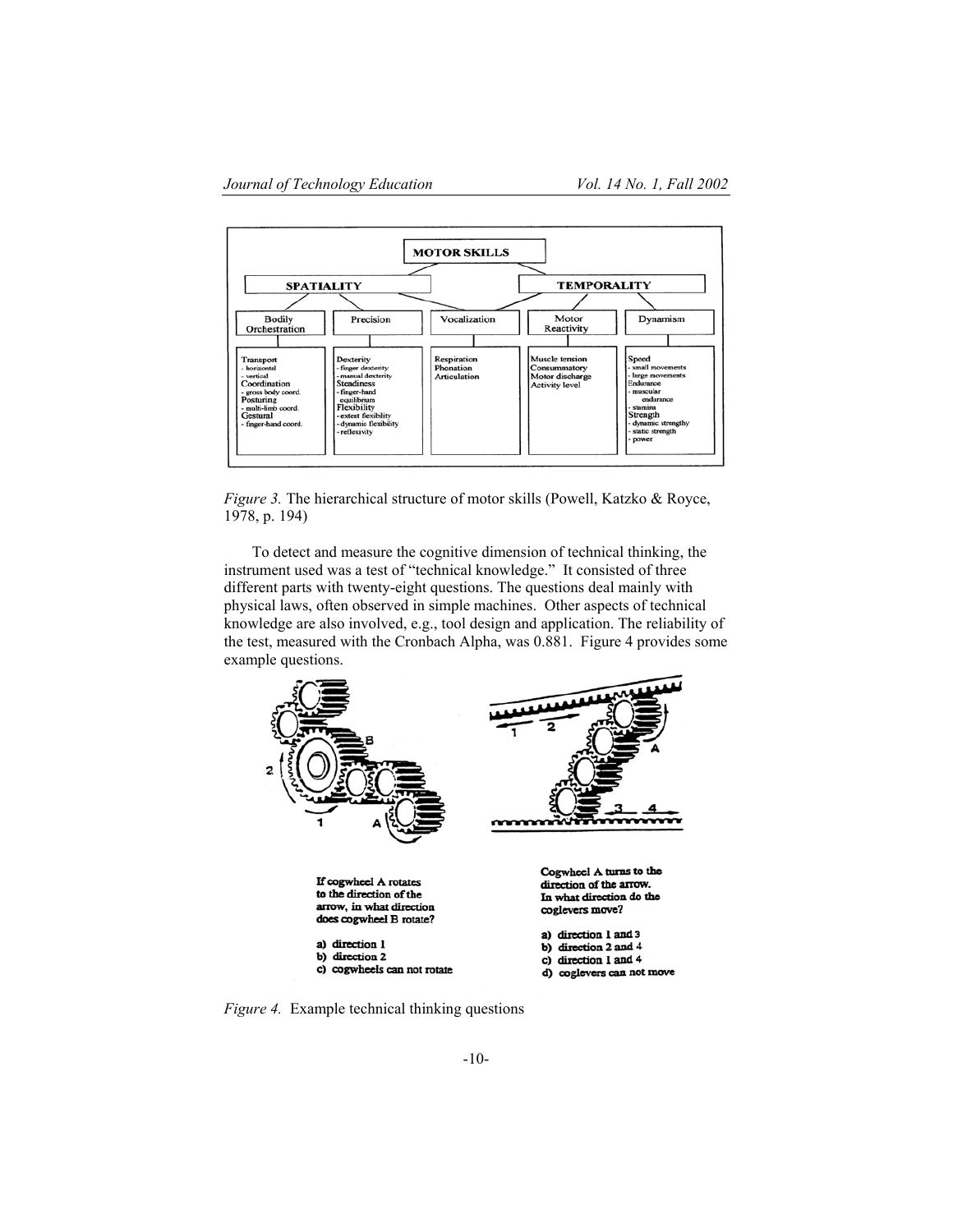

*Figure 3.* The hierarchical structure of motor skills (Powell, Katzko & Royce, 1978, p. 194)

To detect and measure the cognitive dimension of technical thinking, the instrument used was a test of "technical knowledge." It consisted of three different parts with twenty-eight questions. The questions deal mainly with physical laws, often observed in simple machines. Other aspects of technical knowledge are also involved, e.g., tool design and application. The reliability of the test, measured with the Cronbach Alpha, was 0.881. Figure 4 provides some example questions.



*Figure 4.* Example technical thinking questions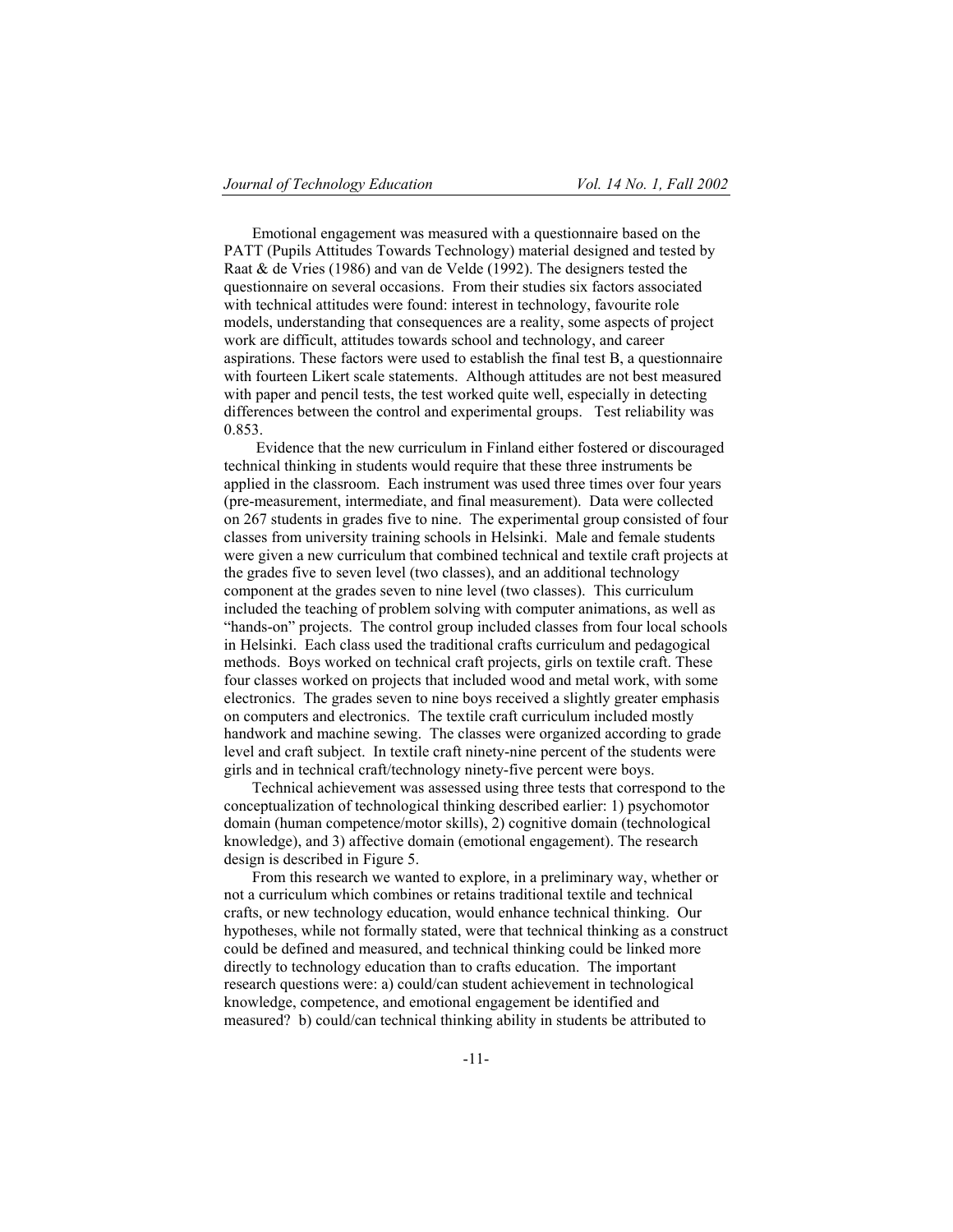Emotional engagement was measured with a questionnaire based on the PATT (Pupils Attitudes Towards Technology) material designed and tested by Raat & de Vries (1986) and van de Velde (1992). The designers tested the questionnaire on several occasions. From their studies six factors associated with technical attitudes were found: interest in technology, favourite role models, understanding that consequences are a reality, some aspects of project work are difficult, attitudes towards school and technology, and career aspirations. These factors were used to establish the final test B, a questionnaire with fourteen Likert scale statements. Although attitudes are not best measured with paper and pencil tests, the test worked quite well, especially in detecting differences between the control and experimental groups. Test reliability was 0.853.

 Evidence that the new curriculum in Finland either fostered or discouraged technical thinking in students would require that these three instruments be applied in the classroom. Each instrument was used three times over four years (pre-measurement, intermediate, and final measurement). Data were collected on 267 students in grades five to nine. The experimental group consisted of four classes from university training schools in Helsinki. Male and female students were given a new curriculum that combined technical and textile craft projects at the grades five to seven level (two classes), and an additional technology component at the grades seven to nine level (two classes). This curriculum included the teaching of problem solving with computer animations, as well as "hands-on" projects. The control group included classes from four local schools in Helsinki. Each class used the traditional crafts curriculum and pedagogical methods. Boys worked on technical craft projects, girls on textile craft. These four classes worked on projects that included wood and metal work, with some electronics. The grades seven to nine boys received a slightly greater emphasis on computers and electronics. The textile craft curriculum included mostly handwork and machine sewing. The classes were organized according to grade level and craft subject. In textile craft ninety-nine percent of the students were girls and in technical craft/technology ninety-five percent were boys.

Technical achievement was assessed using three tests that correspond to the conceptualization of technological thinking described earlier: 1) psychomotor domain (human competence/motor skills), 2) cognitive domain (technological knowledge), and 3) affective domain (emotional engagement). The research design is described in Figure 5.

From this research we wanted to explore, in a preliminary way, whether or not a curriculum which combines or retains traditional textile and technical crafts, or new technology education, would enhance technical thinking. Our hypotheses, while not formally stated, were that technical thinking as a construct could be defined and measured, and technical thinking could be linked more directly to technology education than to crafts education. The important research questions were: a) could/can student achievement in technological knowledge, competence, and emotional engagement be identified and measured? b) could/can technical thinking ability in students be attributed to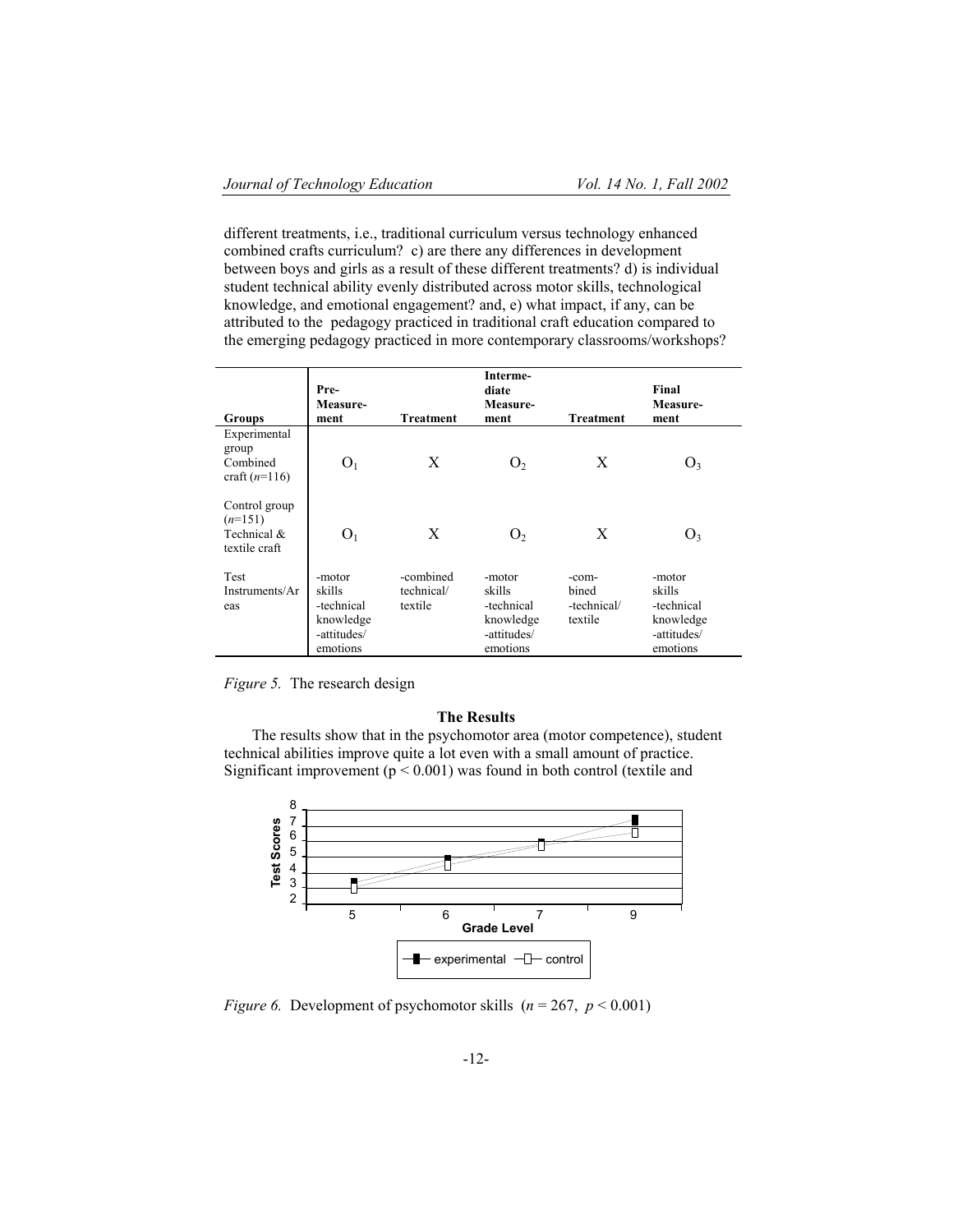different treatments, i.e., traditional curriculum versus technology enhanced combined crafts curriculum? c) are there any differences in development between boys and girls as a result of these different treatments? d) is individual student technical ability evenly distributed across motor skills, technological knowledge, and emotional engagement? and, e) what impact, if any, can be attributed to the pedagogy practiced in traditional craft education compared to the emerging pedagogy practiced in more contemporary classrooms/workshops?

| Groups                                                     | Pre-<br>Measure-<br>ment                                               | <b>Treatment</b>                   | Interme-<br>diate<br>Measure-<br>ment                                  | <b>Treatment</b>                         | Final<br>Measure-<br>ment                                              |
|------------------------------------------------------------|------------------------------------------------------------------------|------------------------------------|------------------------------------------------------------------------|------------------------------------------|------------------------------------------------------------------------|
| Experimental<br>group<br>Combined<br>craft $(n=116)$       | O <sub>1</sub>                                                         | X                                  | O <sub>2</sub>                                                         | X                                        | O <sub>3</sub>                                                         |
| Control group<br>$(n=151)$<br>Technical &<br>textile craft | O <sub>1</sub>                                                         | X                                  | $\mathbf{U}_{2}$                                                       | X                                        | O <sub>3</sub>                                                         |
| Test<br>Instruments/Ar<br>eas                              | -motor<br>skills<br>-technical<br>knowledge<br>-attitudes/<br>emotions | -combined<br>technical/<br>textile | -motor<br>skills<br>-technical<br>knowledge<br>-attitudes/<br>emotions | -com-<br>bined<br>-technical/<br>textile | -motor<br>skills<br>-technical<br>knowledge<br>-attitudes/<br>emotions |

*Figure 5.* The research design

## **The Results**

The results show that in the psychomotor area (motor competence), student technical abilities improve quite a lot even with a small amount of practice. Significant improvement ( $p < 0.001$ ) was found in both control (textile and



*Figure 6.* Development of psychomotor skills  $(n = 267, p < 0.001)$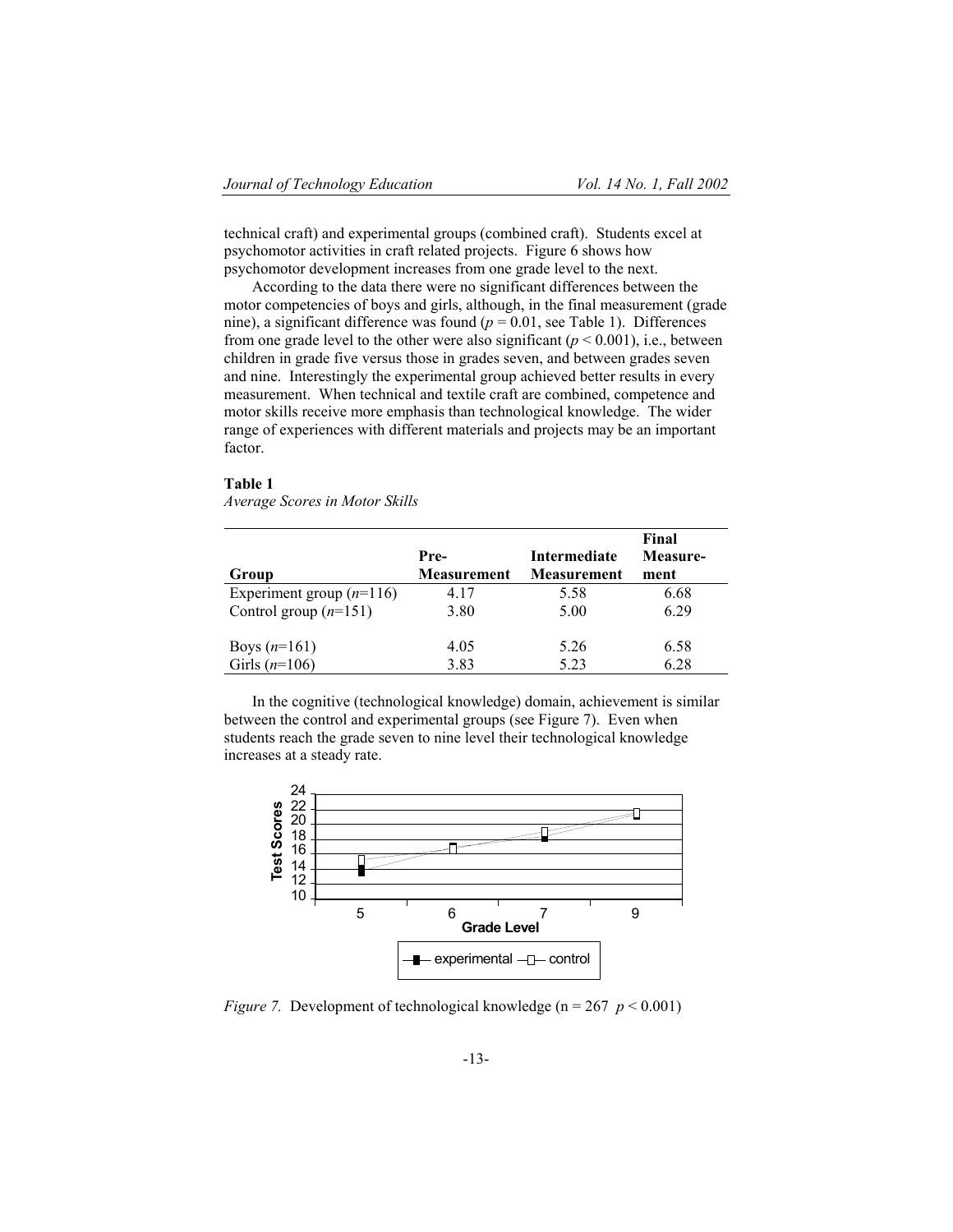technical craft) and experimental groups (combined craft). Students excel at psychomotor activities in craft related projects. Figure 6 shows how psychomotor development increases from one grade level to the next.

According to the data there were no significant differences between the motor competencies of boys and girls, although, in the final measurement (grade nine), a significant difference was found  $(p = 0.01)$ , see Table 1). Differences from one grade level to the other were also significant  $(p < 0.001)$ , i.e., between children in grade five versus those in grades seven, and between grades seven and nine. Interestingly the experimental group achieved better results in every measurement. When technical and textile craft are combined, competence and motor skills receive more emphasis than technological knowledge. The wider range of experiences with different materials and projects may be an important factor.

#### **Table 1**

*Average Scores in Motor Skills* 

| Group                      | Pre-<br><b>Measurement</b> | Intermediate<br><b>Measurement</b> | Final<br>Measure-<br>ment |
|----------------------------|----------------------------|------------------------------------|---------------------------|
| Experiment group $(n=116)$ | 4.17                       | 5.58                               | 6.68                      |
| Control group $(n=151)$    | 3.80                       | 5.00                               | 6.29                      |
|                            |                            |                                    |                           |
| Boys $(n=161)$             | 4.05                       | 5.26                               | 6.58                      |
| Girls $(n=106)$            | 3.83                       | 5.23                               | 6.28                      |

In the cognitive (technological knowledge) domain, achievement is similar between the control and experimental groups (see Figure 7). Even when students reach the grade seven to nine level their technological knowledge increases at a steady rate.



*Figure 7.* Development of technological knowledge ( $n = 267$  *p*  $< 0.001$ )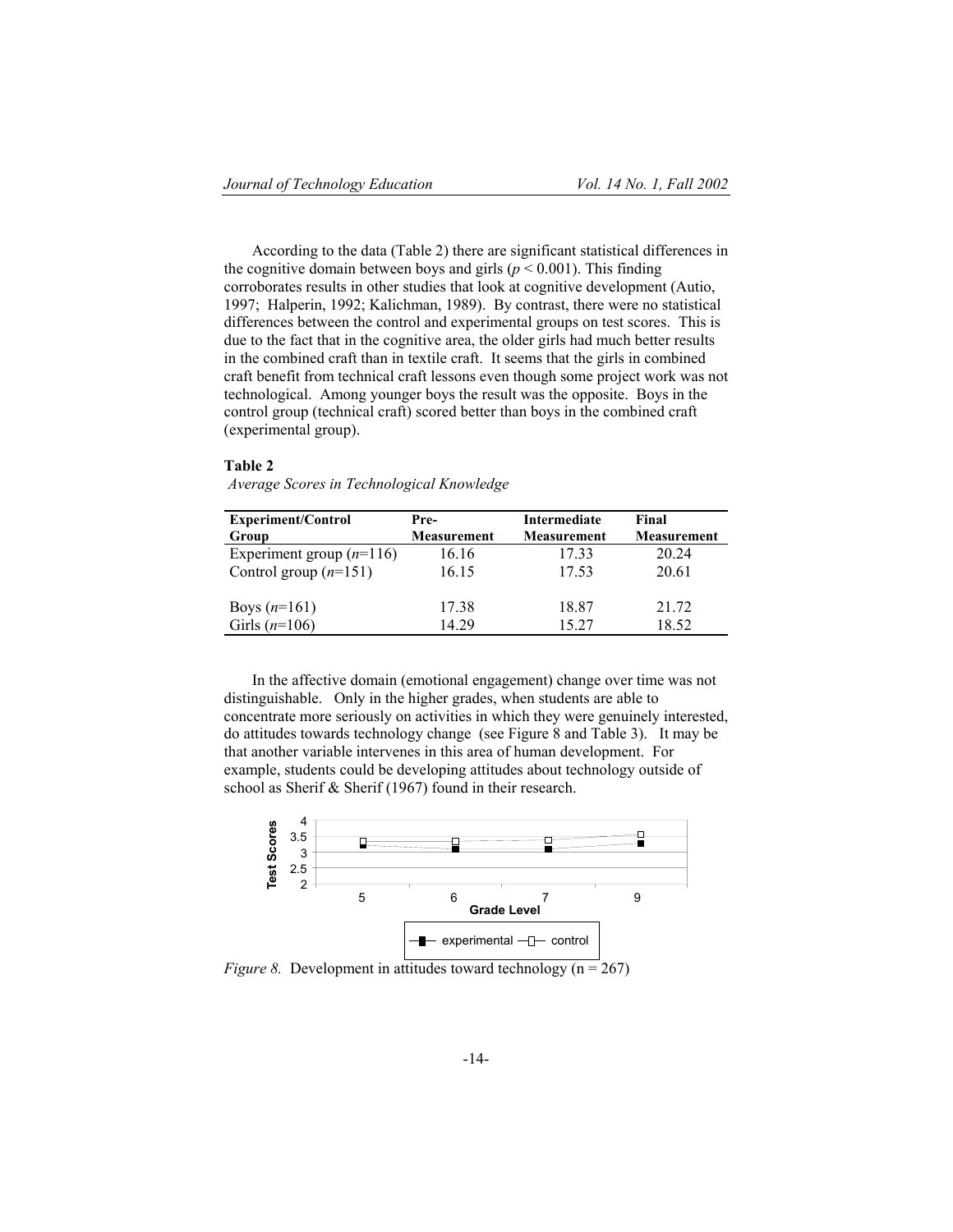According to the data (Table 2) there are significant statistical differences in the cognitive domain between boys and girls ( $p < 0.001$ ). This finding corroborates results in other studies that look at cognitive development (Autio, 1997; Halperin, 1992; Kalichman, 1989). By contrast, there were no statistical differences between the control and experimental groups on test scores. This is due to the fact that in the cognitive area, the older girls had much better results in the combined craft than in textile craft. It seems that the girls in combined craft benefit from technical craft lessons even though some project work was not technological. Among younger boys the result was the opposite. Boys in the control group (technical craft) scored better than boys in the combined craft (experimental group).

#### **Table 2**

| Average Scores in Technological Knowledge |  |  |
|-------------------------------------------|--|--|
|-------------------------------------------|--|--|

| <b>Experiment/Control</b>  | Pre-               | Intermediate       | Final              |
|----------------------------|--------------------|--------------------|--------------------|
| Group                      | <b>Measurement</b> | <b>Measurement</b> | <b>Measurement</b> |
| Experiment group $(n=116)$ | 16.16              | 1733               | 20 24              |
| Control group $(n=151)$    | 16.15              | 17.53              | 20.61              |
| Boys $(n=161)$             | 17.38              | 18.87              | 21.72              |
| Girls $(n=106)$            | 14.29              | 15 27              | 18.52              |

In the affective domain (emotional engagement) change over time was not distinguishable. Only in the higher grades, when students are able to concentrate more seriously on activities in which they were genuinely interested, do attitudes towards technology change (see Figure 8 and Table 3). It may be that another variable intervenes in this area of human development. For example, students could be developing attitudes about technology outside of school as Sherif & Sherif (1967) found in their research.



*Figure 8.* Development in attitudes toward technology (n = 267)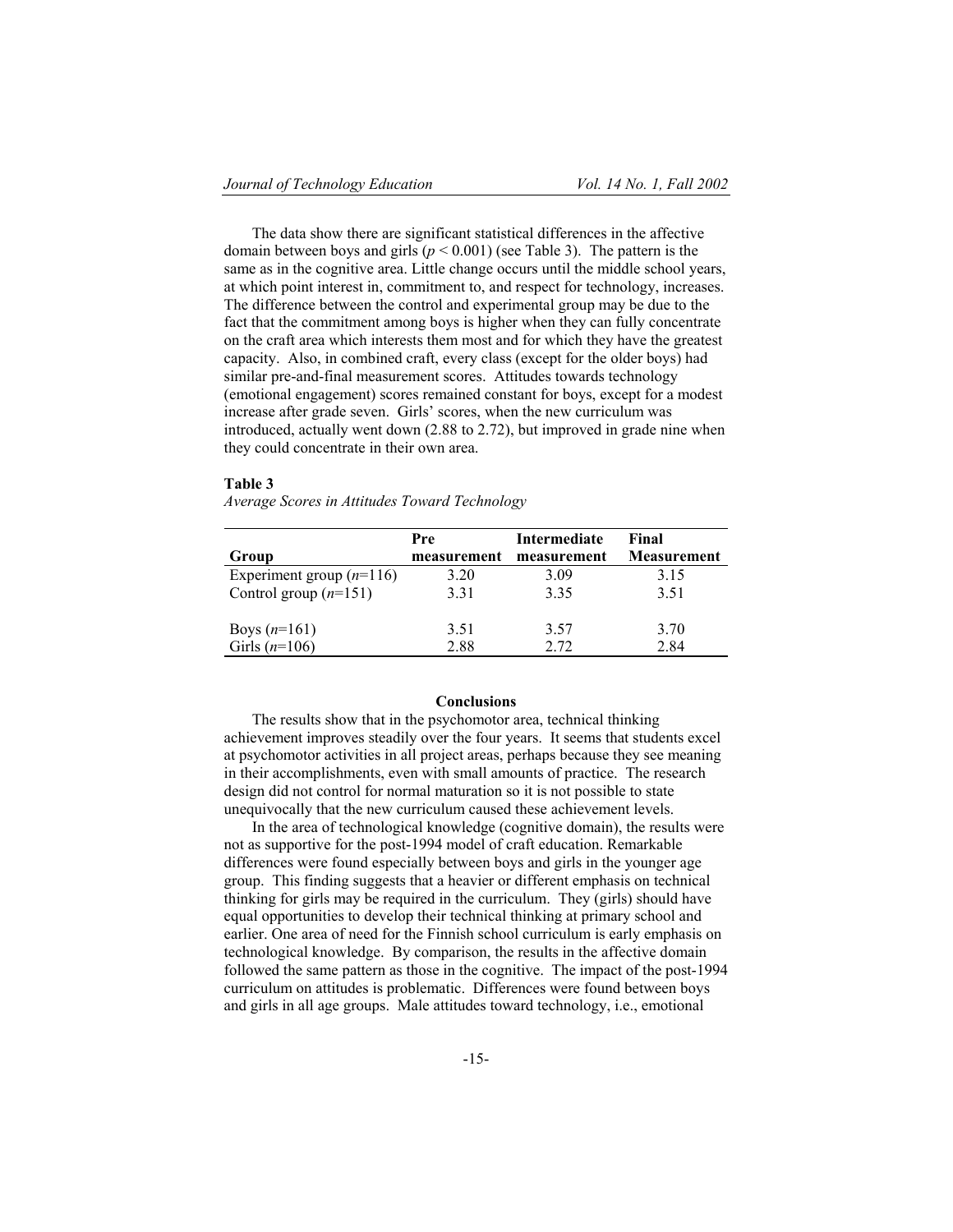The data show there are significant statistical differences in the affective domain between boys and girls  $(p < 0.001)$  (see Table 3). The pattern is the same as in the cognitive area. Little change occurs until the middle school years, at which point interest in, commitment to, and respect for technology, increases. The difference between the control and experimental group may be due to the fact that the commitment among boys is higher when they can fully concentrate on the craft area which interests them most and for which they have the greatest capacity. Also, in combined craft, every class (except for the older boys) had similar pre-and-final measurement scores. Attitudes towards technology (emotional engagement) scores remained constant for boys, except for a modest increase after grade seven. Girls' scores, when the new curriculum was introduced, actually went down (2.88 to 2.72), but improved in grade nine when they could concentrate in their own area.

#### **Table 3**

*Average Scores in Attitudes Toward Technology* 

|                            | Pre         | Intermediate | Final       |
|----------------------------|-------------|--------------|-------------|
| Group                      | measurement | measurement  | Measurement |
| Experiment group $(n=116)$ | 3.20        | 3.09         | 3.15        |
| Control group $(n=151)$    | 3.31        | 3.35         | 3.51        |
| Boys $(n=161)$             | 3.51        | 3.57         | 3.70        |
| Girls $(n=106)$            | 2.88        | 2.72         | 2.84        |

## **Conclusions**

The results show that in the psychomotor area, technical thinking achievement improves steadily over the four years. It seems that students excel at psychomotor activities in all project areas, perhaps because they see meaning in their accomplishments, even with small amounts of practice. The research design did not control for normal maturation so it is not possible to state unequivocally that the new curriculum caused these achievement levels.

In the area of technological knowledge (cognitive domain), the results were not as supportive for the post-1994 model of craft education. Remarkable differences were found especially between boys and girls in the younger age group. This finding suggests that a heavier or different emphasis on technical thinking for girls may be required in the curriculum. They (girls) should have equal opportunities to develop their technical thinking at primary school and earlier. One area of need for the Finnish school curriculum is early emphasis on technological knowledge. By comparison, the results in the affective domain followed the same pattern as those in the cognitive. The impact of the post-1994 curriculum on attitudes is problematic. Differences were found between boys and girls in all age groups. Male attitudes toward technology, i.e., emotional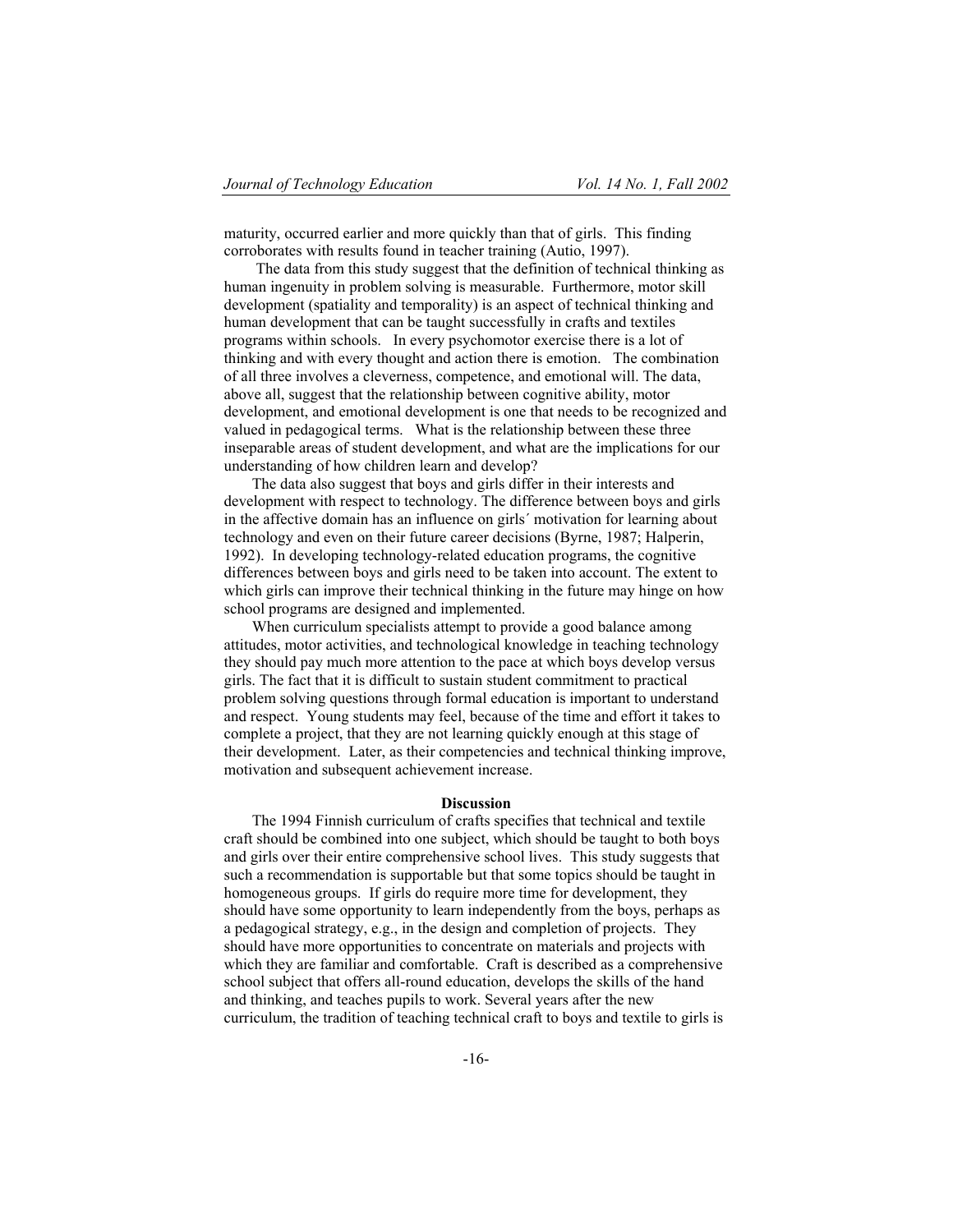maturity, occurred earlier and more quickly than that of girls. This finding corroborates with results found in teacher training (Autio, 1997).

 The data from this study suggest that the definition of technical thinking as human ingenuity in problem solving is measurable. Furthermore, motor skill development (spatiality and temporality) is an aspect of technical thinking and human development that can be taught successfully in crafts and textiles programs within schools. In every psychomotor exercise there is a lot of thinking and with every thought and action there is emotion. The combination of all three involves a cleverness, competence, and emotional will. The data, above all, suggest that the relationship between cognitive ability, motor development, and emotional development is one that needs to be recognized and valued in pedagogical terms. What is the relationship between these three inseparable areas of student development, and what are the implications for our understanding of how children learn and develop?

The data also suggest that boys and girls differ in their interests and development with respect to technology. The difference between boys and girls in the affective domain has an influence on girls´ motivation for learning about technology and even on their future career decisions (Byrne, 1987; Halperin, 1992). In developing technology-related education programs, the cognitive differences between boys and girls need to be taken into account. The extent to which girls can improve their technical thinking in the future may hinge on how school programs are designed and implemented.

When curriculum specialists attempt to provide a good balance among attitudes, motor activities, and technological knowledge in teaching technology they should pay much more attention to the pace at which boys develop versus girls. The fact that it is difficult to sustain student commitment to practical problem solving questions through formal education is important to understand and respect. Young students may feel, because of the time and effort it takes to complete a project, that they are not learning quickly enough at this stage of their development. Later, as their competencies and technical thinking improve, motivation and subsequent achievement increase.

## **Discussion**

The 1994 Finnish curriculum of crafts specifies that technical and textile craft should be combined into one subject, which should be taught to both boys and girls over their entire comprehensive school lives. This study suggests that such a recommendation is supportable but that some topics should be taught in homogeneous groups. If girls do require more time for development, they should have some opportunity to learn independently from the boys, perhaps as a pedagogical strategy, e.g., in the design and completion of projects. They should have more opportunities to concentrate on materials and projects with which they are familiar and comfortable. Craft is described as a comprehensive school subject that offers all-round education, develops the skills of the hand and thinking, and teaches pupils to work. Several years after the new curriculum, the tradition of teaching technical craft to boys and textile to girls is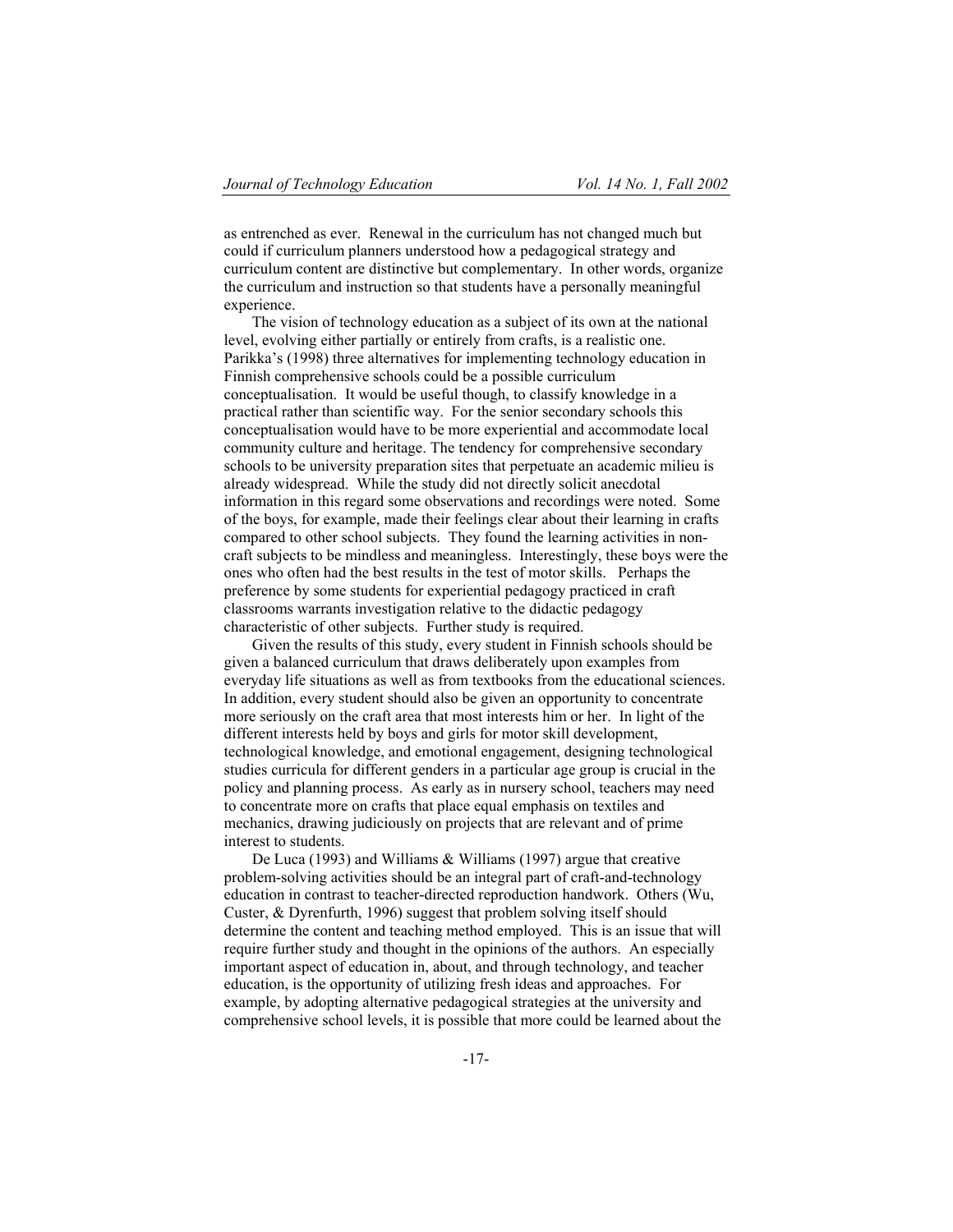as entrenched as ever. Renewal in the curriculum has not changed much but could if curriculum planners understood how a pedagogical strategy and curriculum content are distinctive but complementary. In other words, organize the curriculum and instruction so that students have a personally meaningful experience.

The vision of technology education as a subject of its own at the national level, evolving either partially or entirely from crafts, is a realistic one. Parikka's (1998) three alternatives for implementing technology education in Finnish comprehensive schools could be a possible curriculum conceptualisation. It would be useful though, to classify knowledge in a practical rather than scientific way. For the senior secondary schools this conceptualisation would have to be more experiential and accommodate local community culture and heritage. The tendency for comprehensive secondary schools to be university preparation sites that perpetuate an academic milieu is already widespread. While the study did not directly solicit anecdotal information in this regard some observations and recordings were noted. Some of the boys, for example, made their feelings clear about their learning in crafts compared to other school subjects. They found the learning activities in noncraft subjects to be mindless and meaningless. Interestingly, these boys were the ones who often had the best results in the test of motor skills. Perhaps the preference by some students for experiential pedagogy practiced in craft classrooms warrants investigation relative to the didactic pedagogy characteristic of other subjects. Further study is required.

Given the results of this study, every student in Finnish schools should be given a balanced curriculum that draws deliberately upon examples from everyday life situations as well as from textbooks from the educational sciences. In addition, every student should also be given an opportunity to concentrate more seriously on the craft area that most interests him or her. In light of the different interests held by boys and girls for motor skill development, technological knowledge, and emotional engagement, designing technological studies curricula for different genders in a particular age group is crucial in the policy and planning process. As early as in nursery school, teachers may need to concentrate more on crafts that place equal emphasis on textiles and mechanics, drawing judiciously on projects that are relevant and of prime interest to students.

De Luca (1993) and Williams & Williams (1997) argue that creative problem-solving activities should be an integral part of craft-and-technology education in contrast to teacher-directed reproduction handwork. Others (Wu, Custer, & Dyrenfurth, 1996) suggest that problem solving itself should determine the content and teaching method employed. This is an issue that will require further study and thought in the opinions of the authors. An especially important aspect of education in, about, and through technology, and teacher education, is the opportunity of utilizing fresh ideas and approaches. For example, by adopting alternative pedagogical strategies at the university and comprehensive school levels, it is possible that more could be learned about the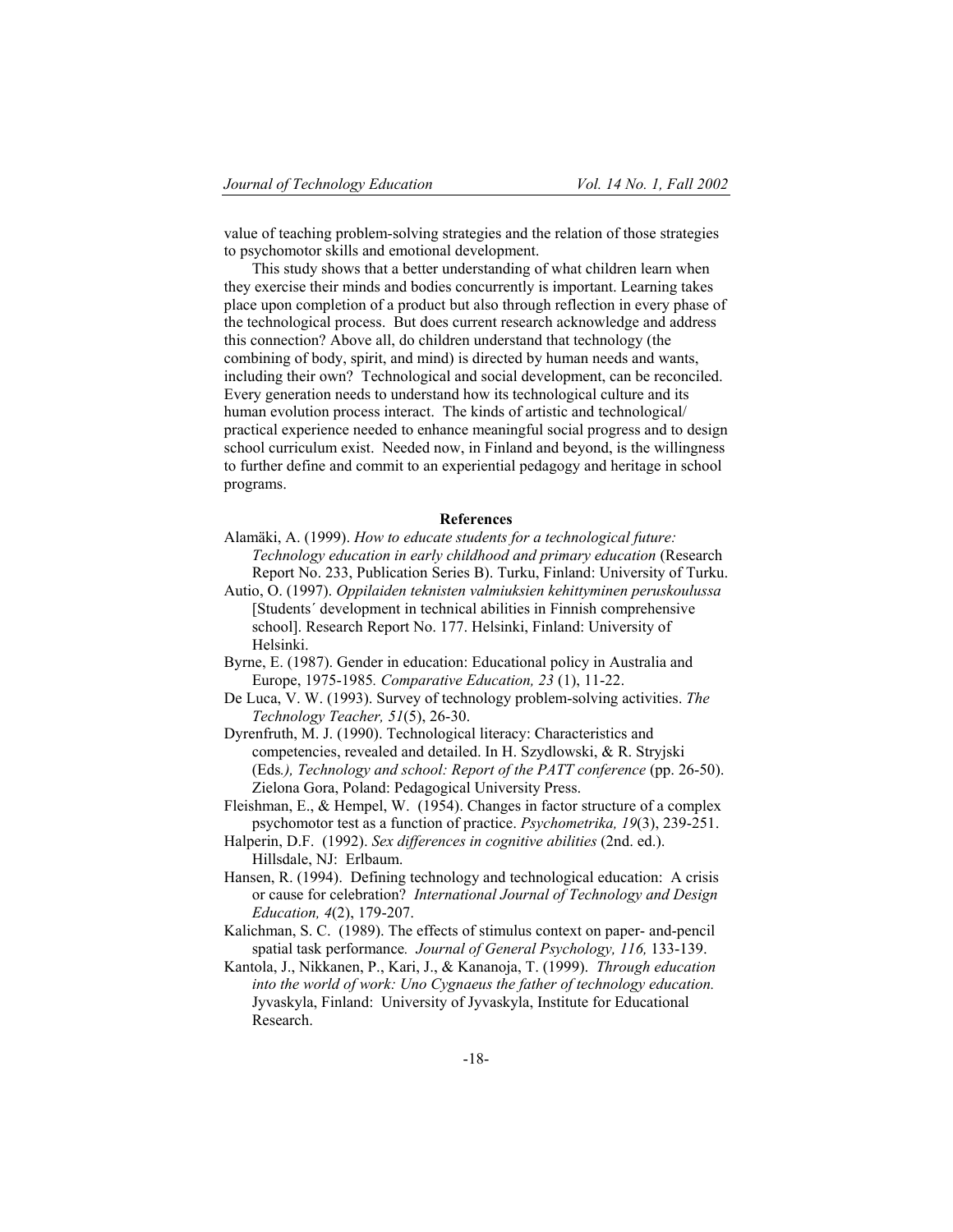value of teaching problem-solving strategies and the relation of those strategies to psychomotor skills and emotional development.

This study shows that a better understanding of what children learn when they exercise their minds and bodies concurrently is important. Learning takes place upon completion of a product but also through reflection in every phase of the technological process. But does current research acknowledge and address this connection? Above all, do children understand that technology (the combining of body, spirit, and mind) is directed by human needs and wants, including their own? Technological and social development, can be reconciled. Every generation needs to understand how its technological culture and its human evolution process interact. The kinds of artistic and technological/ practical experience needed to enhance meaningful social progress and to design school curriculum exist. Needed now, in Finland and beyond, is the willingness to further define and commit to an experiential pedagogy and heritage in school programs.

### **References**

- Alamäki, A. (1999). *How to educate students for a technological future: Technology education in early childhood and primary education* (Research Report No. 233, Publication Series B). Turku, Finland: University of Turku.
- Autio, O. (1997). *Oppilaiden teknisten valmiuksien kehittyminen peruskoulussa* [Students´ development in technical abilities in Finnish comprehensive school]. Research Report No. 177. Helsinki, Finland: University of Helsinki.
- Byrne, E. (1987). Gender in education: Educational policy in Australia and Europe, 1975-1985*. Comparative Education, 23* (1), 11-22.
- De Luca, V. W. (1993). Survey of technology problem-solving activities. *The Technology Teacher, 51*(5), 26-30.
- Dyrenfruth, M. J. (1990). Technological literacy: Characteristics and competencies, revealed and detailed. In H. Szydlowski, & R. Stryjski (Eds*.), Technology and school: Report of the PATT conference* (pp. 26-50). Zielona Gora, Poland: Pedagogical University Press.
- Fleishman, E., & Hempel, W. (1954). Changes in factor structure of a complex psychomotor test as a function of practice. *Psychometrika, 19*(3), 239-251.
- Halperin, D.F. (1992). *Sex differences in cognitive abilities* (2nd. ed.). Hillsdale, NJ: Erlbaum.
- Hansen, R. (1994). Defining technology and technological education: A crisis or cause for celebration? *International Journal of Technology and Design Education, 4*(2), 179-207.
- Kalichman, S. C. (1989). The effects of stimulus context on paper- and-pencil spatial task performance*. Journal of General Psychology, 116,* 133-139.
- Kantola, J., Nikkanen, P., Kari, J., & Kananoja, T. (1999). *Through education into the world of work: Uno Cygnaeus the father of technology education.* Jyvaskyla, Finland: University of Jyvaskyla, Institute for Educational Research.